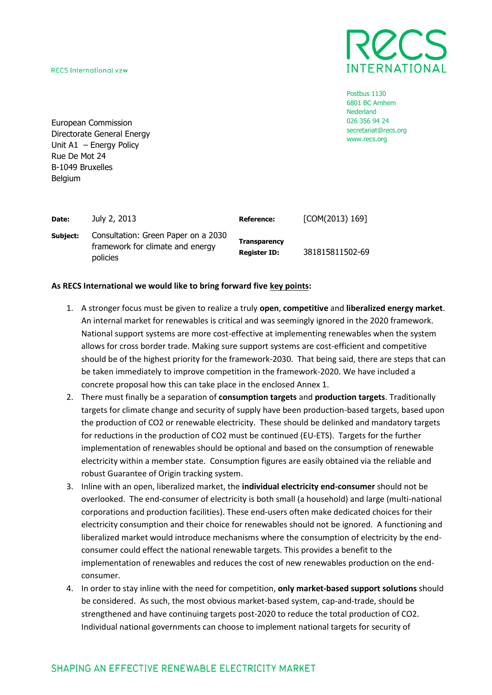**RECS International vzw** 



Postbus 1130 6801 BC Arnhem Nederland 026 356 94 24 secretariat@recs.org www.recs.org

European Commission Directorate General Energy Unit A1 – Energy Policy Rue De Mot 24 B-1049 Bruxelles **Belgium** 

| Date:    | July 2, 2013                                                                        | <b>Reference:</b>                          | [COM(2013) 169] |
|----------|-------------------------------------------------------------------------------------|--------------------------------------------|-----------------|
| Subject: | Consultation: Green Paper on a 2030<br>framework for climate and energy<br>policies | <b>Transparency</b><br><b>Register ID:</b> | 381815811502-69 |

## **As RECS International we would like to bring forward five key points:**

- 1. A stronger focus must be given to realize a truly **open**, **competitive** and **liberalized energy market**. An internal market for renewables is critical and was seemingly ignored in the 2020 framework. National support systems are more cost-effective at implementing renewables when the system allows for cross border trade. Making sure support systems are cost-efficient and competitive should be of the highest priority for the framework-2030. That being said, there are steps that can be taken immediately to improve competition in the framework-2020. We have included a concrete proposal how this can take place in the enclosed Annex 1.
- 2. There must finally be a separation of **consumption targets** and **production targets**. Traditionally targets for climate change and security of supply have been production-based targets, based upon the production of CO2 or renewable electricity. These should be delinked and mandatory targets for reductions in the production of CO2 must be continued (EU-ETS). Targets for the further implementation of renewables should be optional and based on the consumption of renewable electricity within a member state. Consumption figures are easily obtained via the reliable and robust Guarantee of Origin tracking system.
- 3. Inline with an open, liberalized market, the **individual electricity end-consumer** should not be overlooked. The end-consumer of electricity is both small (a household) and large (multi-national corporations and production facilities). These end-users often make dedicated choices for their electricity consumption and their choice for renewables should not be ignored. A functioning and liberalized market would introduce mechanisms where the consumption of electricity by the endconsumer could effect the national renewable targets. This provides a benefit to the implementation of renewables and reduces the cost of new renewables production on the endconsumer.
- 4. In order to stay inline with the need for competition, **only market-based support solutions** should be considered. As such, the most obvious market-based system, cap-and-trade, should be strengthened and have continuing targets post-2020 to reduce the total production of CO2. Individual national governments can choose to implement national targets for security of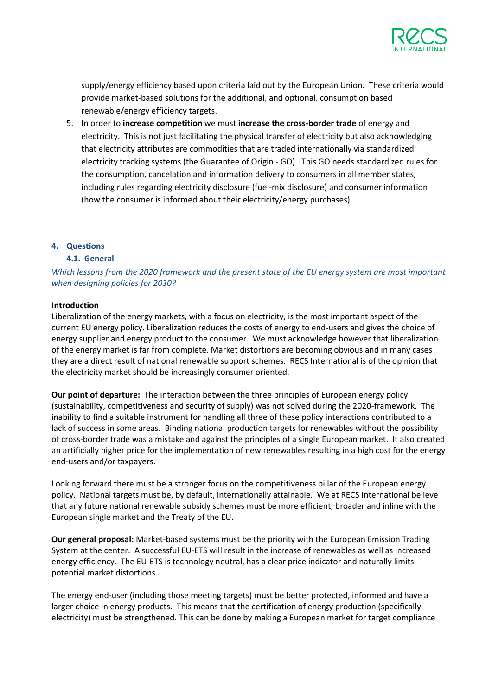

supply/energy efficiency based upon criteria laid out by the European Union. These criteria would provide market-based solutions for the additional, and optional, consumption based renewable/energy efficiency targets.

5. In order to **increase competition** we must **increase the cross-border trade** of energy and electricity. This is not just facilitating the physical transfer of electricity but also acknowledging that electricity attributes are commodities that are traded internationally via standardized electricity tracking systems (the Guarantee of Origin - GO). This GO needs standardized rules for the consumption, cancelation and information delivery to consumers in all member states, including rules regarding electricity disclosure (fuel-mix disclosure) and consumer information (how the consumer is informed about their electricity/energy purchases).

### **4. Questions**

## **4.1. General**

*Which lessons from the 2020 framework and the present state of the EU energy system are most important when designing policies for 2030?*

### **Introduction**

Liberalization of the energy markets, with a focus on electricity, is the most important aspect of the current EU energy policy. Liberalization reduces the costs of energy to end-users and gives the choice of energy supplier and energy product to the consumer. We must acknowledge however that liberalization of the energy market is far from complete. Market distortions are becoming obvious and in many cases they are a direct result of national renewable support schemes. RECS International is of the opinion that the electricity market should be increasingly consumer oriented.

**Our point of departure:** The interaction between the three principles of European energy policy (sustainability, competitiveness and security of supply) was not solved during the 2020-framework. The inability to find a suitable instrument for handling all three of these policy interactions contributed to a lack of success in some areas. Binding national production targets for renewables without the possibility of cross-border trade was a mistake and against the principles of a single European market. It also created an artificially higher price for the implementation of new renewables resulting in a high cost for the energy end-users and/or taxpayers.

Looking forward there must be a stronger focus on the competitiveness pillar of the European energy policy. National targets must be, by default, internationally attainable. We at RECS International believe that any future national renewable subsidy schemes must be more efficient, broader and inline with the European single market and the Treaty of the EU.

**Our general proposal:** Market-based systems must be the priority with the European Emission Trading System at the center. A successful EU-ETS will result in the increase of renewables as well as increased energy efficiency. The EU-ETS is technology neutral, has a clear price indicator and naturally limits potential market distortions.

The energy end-user (including those meeting targets) must be better protected, informed and have a larger choice in energy products. This means that the certification of energy production (specifically electricity) must be strengthened. This can be done by making a European market for target compliance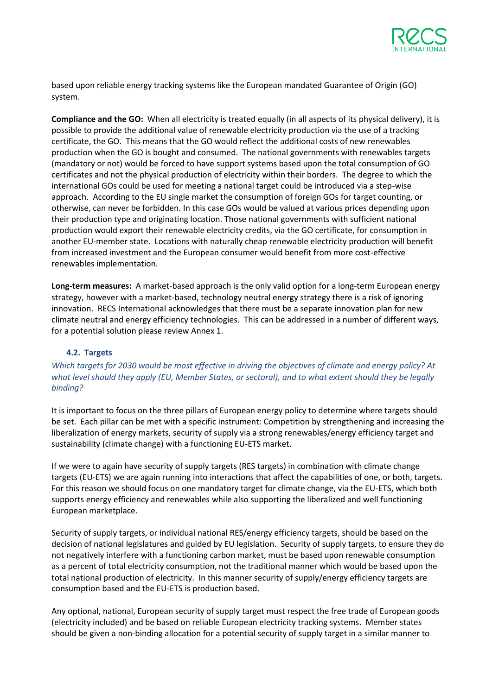

based upon reliable energy tracking systems like the European mandated Guarantee of Origin (GO) system.

**Compliance and the GO:** When all electricity is treated equally (in all aspects of its physical delivery), it is possible to provide the additional value of renewable electricity production via the use of a tracking certificate, the GO. This means that the GO would reflect the additional costs of new renewables production when the GO is bought and consumed. The national governments with renewables targets (mandatory or not) would be forced to have support systems based upon the total consumption of GO certificates and not the physical production of electricity within their borders. The degree to which the international GOs could be used for meeting a national target could be introduced via a step-wise approach. According to the EU single market the consumption of foreign GOs for target counting, or otherwise, can never be forbidden. In this case GOs would be valued at various prices depending upon their production type and originating location. Those national governments with sufficient national production would export their renewable electricity credits, via the GO certificate, for consumption in another EU-member state. Locations with naturally cheap renewable electricity production will benefit from increased investment and the European consumer would benefit from more cost-effective renewables implementation.

**Long-term measures:** A market-based approach is the only valid option for a long-term European energy strategy, however with a market-based, technology neutral energy strategy there is a risk of ignoring innovation. RECS International acknowledges that there must be a separate innovation plan for new climate neutral and energy efficiency technologies. This can be addressed in a number of different ways, for a potential solution please review Annex 1.

# **4.2. Targets**

*Which targets for 2030 would be most effective in driving the objectives of climate and energy policy? At what level should they apply (EU, Member States, or sectoral), and to what extent should they be legally binding?*

It is important to focus on the three pillars of European energy policy to determine where targets should be set. Each pillar can be met with a specific instrument: Competition by strengthening and increasing the liberalization of energy markets, security of supply via a strong renewables/energy efficiency target and sustainability (climate change) with a functioning EU-ETS market.

If we were to again have security of supply targets (RES targets) in combination with climate change targets (EU-ETS) we are again running into interactions that affect the capabilities of one, or both, targets. For this reason we should focus on one mandatory target for climate change, via the EU-ETS, which both supports energy efficiency and renewables while also supporting the liberalized and well functioning European marketplace.

Security of supply targets, or individual national RES/energy efficiency targets, should be based on the decision of national legislatures and guided by EU legislation. Security of supply targets, to ensure they do not negatively interfere with a functioning carbon market, must be based upon renewable consumption as a percent of total electricity consumption, not the traditional manner which would be based upon the total national production of electricity. In this manner security of supply/energy efficiency targets are consumption based and the EU-ETS is production based.

Any optional, national, European security of supply target must respect the free trade of European goods (electricity included) and be based on reliable European electricity tracking systems. Member states should be given a non-binding allocation for a potential security of supply target in a similar manner to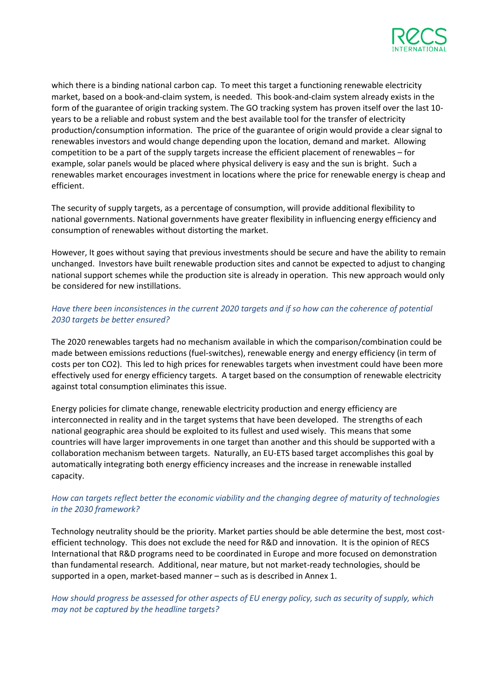

which there is a binding national carbon cap. To meet this target a functioning renewable electricity market, based on a book-and-claim system, is needed. This book-and-claim system already exists in the form of the guarantee of origin tracking system. The GO tracking system has proven itself over the last 10 years to be a reliable and robust system and the best available tool for the transfer of electricity production/consumption information. The price of the guarantee of origin would provide a clear signal to renewables investors and would change depending upon the location, demand and market. Allowing competition to be a part of the supply targets increase the efficient placement of renewables – for example, solar panels would be placed where physical delivery is easy and the sun is bright. Such a renewables market encourages investment in locations where the price for renewable energy is cheap and efficient.

The security of supply targets, as a percentage of consumption, will provide additional flexibility to national governments. National governments have greater flexibility in influencing energy efficiency and consumption of renewables without distorting the market.

However, It goes without saying that previous investments should be secure and have the ability to remain unchanged. Investors have built renewable production sites and cannot be expected to adjust to changing national support schemes while the production site is already in operation. This new approach would only be considered for new instillations.

# *Have there been inconsistences in the current 2020 targets and if so how can the coherence of potential 2030 targets be better ensured?*

The 2020 renewables targets had no mechanism available in which the comparison/combination could be made between emissions reductions (fuel-switches), renewable energy and energy efficiency (in term of costs per ton CO2). This led to high prices for renewables targets when investment could have been more effectively used for energy efficiency targets. A target based on the consumption of renewable electricity against total consumption eliminates this issue.

Energy policies for climate change, renewable electricity production and energy efficiency are interconnected in reality and in the target systems that have been developed. The strengths of each national geographic area should be exploited to its fullest and used wisely. This means that some countries will have larger improvements in one target than another and this should be supported with a collaboration mechanism between targets. Naturally, an EU-ETS based target accomplishes this goal by automatically integrating both energy efficiency increases and the increase in renewable installed capacity.

# *How can targets reflect better the economic viability and the changing degree of maturity of technologies in the 2030 framework?*

Technology neutrality should be the priority. Market parties should be able determine the best, most costefficient technology. This does not exclude the need for R&D and innovation. It is the opinion of RECS International that R&D programs need to be coordinated in Europe and more focused on demonstration than fundamental research. Additional, near mature, but not market-ready technologies, should be supported in a open, market-based manner – such as is described in Annex 1.

*How should progress be assessed for other aspects of EU energy policy, such as security of supply, which may not be captured by the headline targets?*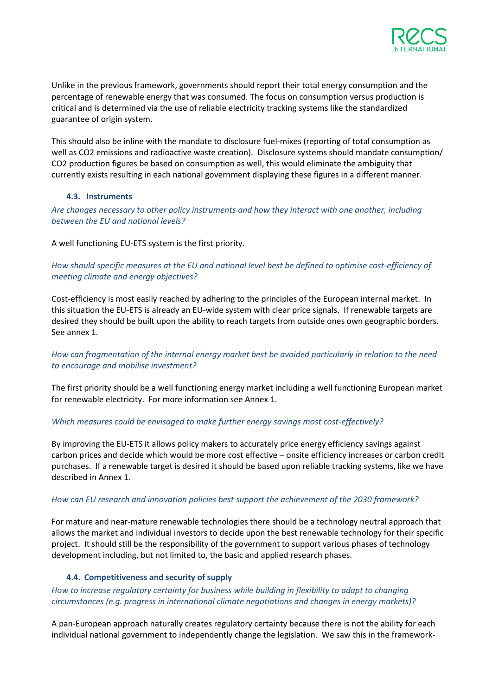

Unlike in the previous framework, governments should report their total energy consumption and the percentage of renewable energy that was consumed. The focus on consumption versus production is critical and is determined via the use of reliable electricity tracking systems like the standardized guarantee of origin system.

This should also be inline with the mandate to disclosure fuel-mixes (reporting of total consumption as well as CO2 emissions and radioactive waste creation). Disclosure systems should mandate consumption/ CO2 production figures be based on consumption as well, this would eliminate the ambiguity that currently exists resulting in each national government displaying these figures in a different manner.

### **4.3. Instruments**

*Are changes necessary to other policy instruments and how they interact with one another, including between the EU and national levels?*

A well functioning EU-ETS system is the first priority.

*How should specific measures at the EU and national level best be defined to optimise cost-efficiency of meeting climate and energy objectives?*

Cost-efficiency is most easily reached by adhering to the principles of the European internal market. In this situation the EU-ETS is already an EU-wide system with clear price signals. If renewable targets are desired they should be built upon the ability to reach targets from outside ones own geographic borders. See annex 1.

*How can fragmentation of the internal energy market best be avoided particularly in relation to the need to encourage and mobilise investment?*

The first priority should be a well functioning energy market including a well functioning European market for renewable electricity. For more information see Annex 1.

### *Which measures could be envisaged to make further energy savings most cost-effectively?*

By improving the EU-ETS it allows policy makers to accurately price energy efficiency savings against carbon prices and decide which would be more cost effective – onsite efficiency increases or carbon credit purchases. If a renewable target is desired it should be based upon reliable tracking systems, like we have described in Annex 1.

### *How can EU research and innovation policies best support the achievement of the 2030 framework?*

For mature and near-mature renewable technologies there should be a technology neutral approach that allows the market and individual investors to decide upon the best renewable technology for their specific project. It should still be the responsibility of the government to support various phases of technology development including, but not limited to, the basic and applied research phases.

### **4.4. Competitiveness and security of supply**

*How to increase regulatory certainty for business while building in flexibility to adapt to changing circumstances (e.g. progress in international climate negotiations and changes in energy markets)?*

A pan-European approach naturally creates regulatory certainty because there is not the ability for each individual national government to independently change the legislation. We saw this in the framework-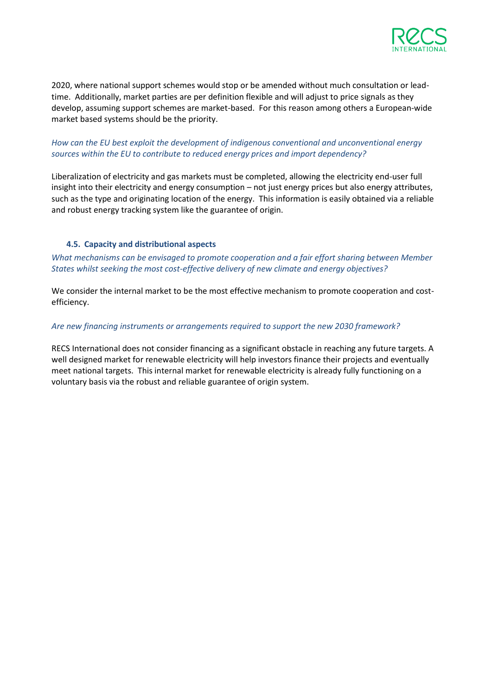

2020, where national support schemes would stop or be amended without much consultation or leadtime. Additionally, market parties are per definition flexible and will adjust to price signals as they develop, assuming support schemes are market-based. For this reason among others a European-wide market based systems should be the priority.

# *How can the EU best exploit the development of indigenous conventional and unconventional energy sources within the EU to contribute to reduced energy prices and import dependency?*

Liberalization of electricity and gas markets must be completed, allowing the electricity end-user full insight into their electricity and energy consumption – not just energy prices but also energy attributes, such as the type and originating location of the energy. This information is easily obtained via a reliable and robust energy tracking system like the guarantee of origin.

## **4.5. Capacity and distributional aspects**

*What mechanisms can be envisaged to promote cooperation and a fair effort sharing between Member States whilst seeking the most cost-effective delivery of new climate and energy objectives?*

We consider the internal market to be the most effective mechanism to promote cooperation and costefficiency.

### *Are new financing instruments or arrangements required to support the new 2030 framework?*

RECS International does not consider financing as a significant obstacle in reaching any future targets. A well designed market for renewable electricity will help investors finance their projects and eventually meet national targets. This internal market for renewable electricity is already fully functioning on a voluntary basis via the robust and reliable guarantee of origin system.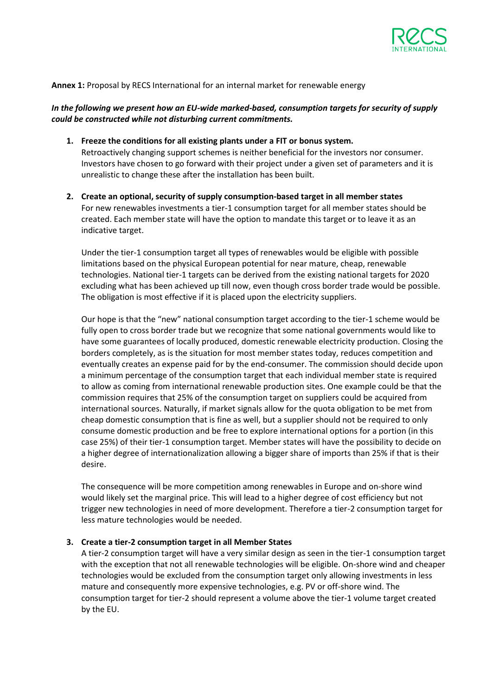

### **Annex 1:** Proposal by RECS International for an internal market for renewable energy

## *In the following we present how an EU-wide marked-based, consumption targets for security of supply could be constructed while not disturbing current commitments.*

- **1. Freeze the conditions for all existing plants under a FIT or bonus system.** Retroactively changing support schemes is neither beneficial for the investors nor consumer. Investors have chosen to go forward with their project under a given set of parameters and it is unrealistic to change these after the installation has been built.
- **2. Create an optional, security of supply consumption-based target in all member states** For new renewables investments a tier-1 consumption target for all member states should be created. Each member state will have the option to mandate this target or to leave it as an indicative target.

Under the tier-1 consumption target all types of renewables would be eligible with possible limitations based on the physical European potential for near mature, cheap, renewable technologies. National tier-1 targets can be derived from the existing national targets for 2020 excluding what has been achieved up till now, even though cross border trade would be possible. The obligation is most effective if it is placed upon the electricity suppliers.

Our hope is that the "new" national consumption target according to the tier-1 scheme would be fully open to cross border trade but we recognize that some national governments would like to have some guarantees of locally produced, domestic renewable electricity production. Closing the borders completely, as is the situation for most member states today, reduces competition and eventually creates an expense paid for by the end-consumer. The commission should decide upon a minimum percentage of the consumption target that each individual member state is required to allow as coming from international renewable production sites. One example could be that the commission requires that 25% of the consumption target on suppliers could be acquired from international sources. Naturally, if market signals allow for the quota obligation to be met from cheap domestic consumption that is fine as well, but a supplier should not be required to only consume domestic production and be free to explore international options for a portion (in this case 25%) of their tier-1 consumption target. Member states will have the possibility to decide on a higher degree of internationalization allowing a bigger share of imports than 25% if that is their desire.

The consequence will be more competition among renewables in Europe and on-shore wind would likely set the marginal price. This will lead to a higher degree of cost efficiency but not trigger new technologies in need of more development. Therefore a tier-2 consumption target for less mature technologies would be needed.

#### **3. Create a tier-2 consumption target in all Member States**

A tier-2 consumption target will have a very similar design as seen in the tier-1 consumption target with the exception that not all renewable technologies will be eligible. On-shore wind and cheaper technologies would be excluded from the consumption target only allowing investments in less mature and consequently more expensive technologies, e.g. PV or off-shore wind. The consumption target for tier-2 should represent a volume above the tier-1 volume target created by the EU.